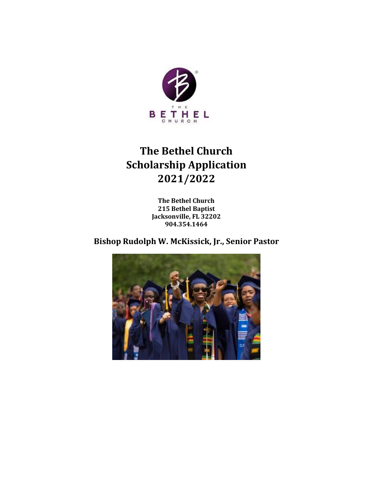

# **The Bethel Church Scholarship Application 2021/2022**

**The Bethel Church 215 Bethel Baptist Jacksonville, FL 32202 904.354.1464**

**Bishop Rudolph W. McKissick, Jr., Senior Pastor**

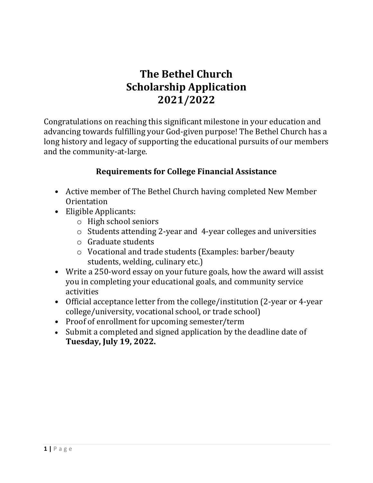## **The Bethel Church Scholarship Application 2021/2022**

Congratulations on reaching this significant milestone in your education and advancing towards fulfilling your God-given purpose! The Bethel Church has a long history and legacy of supporting the educational pursuits of our members and the community-at-large.

### **Requirements for College Financial Assistance**

- Active member of The Bethel Church having completed New Member **Orientation**
- Eligible Applicants:
	- o High school seniors
	- o Students attending 2-year and 4-year colleges and universities
	- o Graduate students
	- o Vocational and trade students (Examples: barber/beauty students, welding, culinary etc.)
- Write a 250-word essay on your future goals, how the award will assist you in completing your educational goals, and community service activities
- Official acceptance letter from the college/institution (2-year or 4-year college/university, vocational school, or trade school)
- Proof of enrollment for upcoming semester/term
- Submit a completed and signed application by the deadline date of **Tuesday, July 19, 2022.**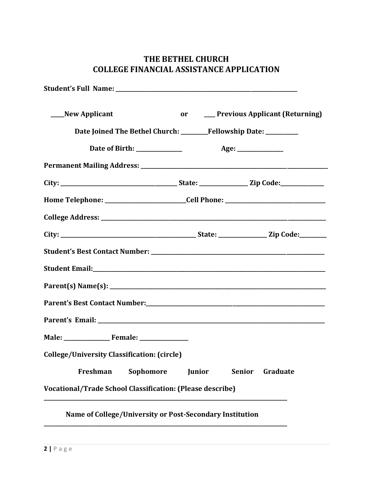#### **THE BETHEL CHURCH COLLEGE FINANCIAL ASSISTANCE APPLICATION**

| ____New Applicant                                                                |               |        | or _____ Previous Applicant (Returning) |
|----------------------------------------------------------------------------------|---------------|--------|-----------------------------------------|
| Date Joined The Bethel Church: _______Fellowship Date: _________                 |               |        |                                         |
|                                                                                  |               |        |                                         |
|                                                                                  |               |        |                                         |
|                                                                                  |               |        |                                         |
| Home Telephone: __________________________Cell Phone: __________________________ |               |        |                                         |
|                                                                                  |               |        |                                         |
|                                                                                  |               |        |                                         |
|                                                                                  |               |        |                                         |
|                                                                                  |               |        |                                         |
|                                                                                  |               |        |                                         |
|                                                                                  |               |        |                                         |
|                                                                                  |               |        |                                         |
|                                                                                  |               |        |                                         |
| <b>College/University Classification: (circle)</b>                               |               |        |                                         |
| Sophomore<br>Freshman                                                            | <b>Junior</b> | Senior | Graduate                                |
| <b>Vocational/Trade School Classification: (Please describe)</b>                 |               |        |                                         |
| Name of College/University or Post-Secondary Institution                         |               |        |                                         |

**\_\_\_\_\_\_\_\_\_\_\_\_\_\_\_\_\_\_\_\_\_\_\_\_\_\_\_\_\_\_\_\_\_\_\_\_\_\_\_\_\_\_\_\_\_\_\_\_\_\_\_\_\_\_\_\_\_\_\_\_\_\_\_\_\_\_\_\_\_\_\_\_\_\_\_\_\_\_\_\_\_\_\_\_\_\_\_\_\_\_**